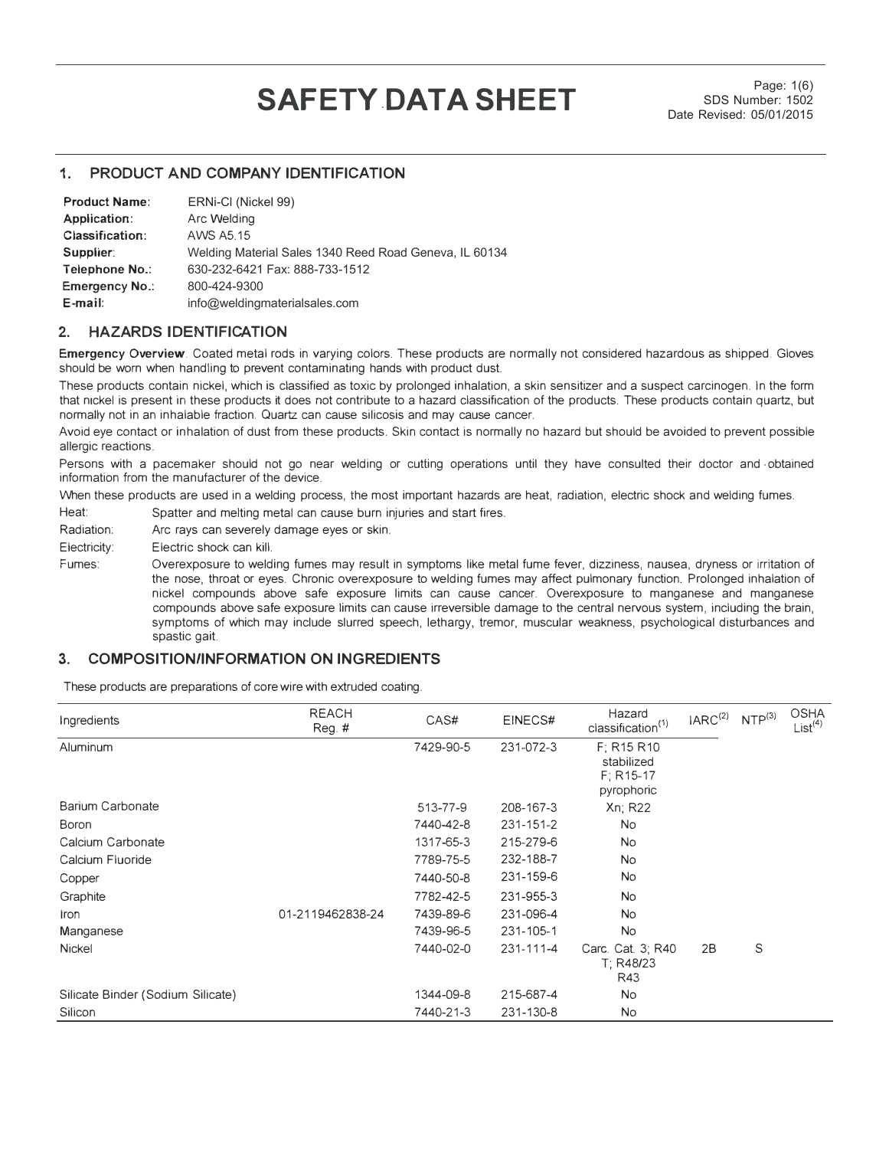# **SAFETY DATA SHEET** SDS Number: 1502

SDS Number: 1502 Date Revised: 05/01/2015

## **1. PRODUCT AND COMPANY IDENTIFICATION**

| <b>Product Name:</b>  | ERNi-CI (Nickel 99)                                    |
|-----------------------|--------------------------------------------------------|
| Application:          | Arc Welding                                            |
| Classification:       | AWS A5 15                                              |
| Supplier:             | Welding Material Sales 1340 Reed Road Geneva, IL 60134 |
| Telephone No.:        | 630-232-6421 Fax: 888-733-1512                         |
| <b>Emergency No.:</b> | 800-424-9300                                           |
| $E$ -mail:            | info@weldingmaterialsales.com                          |

# **2. HAZARDS IDENTIFICATION**

**Emergency Overview:** Coated metal rods in varying colors. These products are normally not considered hazardous as shipped. Gloves should be worn when handling to prevent contaminating hands with product dust.

These products contain nickel, which is classified as toxic by prolonged inhalation, a skin sensitizer and a suspect carcinogen. in the form that nickel is present in these products it does not contribute to a hazard classification of the products. These products contain quartz, but normally not in an inhalable fraction. Quartz can cause silicosis and may cause cancer.

Avoid eye contact or inhalation of dust from these products. Skin contact is normally no hazard but should be avoided to prevent possible allergic reactions.

Persons with a pacemaker should not go near welding or cutting operations until they have consulted their doctor and obtained information from the manufacturer of the device.

When these products are used in a welding process, the most important hazards are heat, radiation, electric shock and welding fumes.

Heat: Spatter and melting metal can cause burn injuries and start fires.

Radiation: Arc rays can severely damage eyes or skin.

Electricity: Electric shock can kill.

Fumes: Overexposure to welding fumes may result in symptoms like metal fume fever, dizziness, nausea, dryness or irritation of the nose, throat or eyes. Chronic overexposure to welding fumes may affect pulmonary function. Prolonged inhalation of nickel compounds above safe exposure limits can cause cancer. Overexposure to manganese and manganese compounds above safe exposure limits can cause irreversible damage to the central nervous system, including the brain, symptoms of which may include slurred speech, lethargy, tremor, muscular weakness, psychological disturbances and spastic gait.

# **3. COMPOSITION/INFORMATION ON INGREDIENTS**

These products are preparations of core wire with extruded coating.

| Ingredients                       | <b>REACH</b><br>$Reg.$ # | CAS#      | EINECS#   | Hazard<br>classification <sup>(1)</sup>               | IARC <sup>(2)</sup> NTP <sup>(3)</sup> |   | <b>OSHA</b><br>List <sup>(4)</sup> |
|-----------------------------------|--------------------------|-----------|-----------|-------------------------------------------------------|----------------------------------------|---|------------------------------------|
| Aluminum                          |                          | 7429-90-5 | 231-072-3 | F: R15 R10<br>stabilized<br>$F; R15-17$<br>pyrophoric |                                        |   |                                    |
| Barium Carbonate                  |                          | 513-77-9  | 208-167-3 | Xn; R22                                               |                                        |   |                                    |
| Boron                             |                          | 7440-42-8 | 231-151-2 | No.                                                   |                                        |   |                                    |
| Calcium Carbonate                 |                          | 1317-65-3 | 215-279-6 | No.                                                   |                                        |   |                                    |
| Calcium Fluoride                  |                          | 7789-75-5 | 232-188-7 | <b>No</b>                                             |                                        |   |                                    |
| Copper                            |                          | 7440-50-8 | 231-159-6 | <b>No</b>                                             |                                        |   |                                    |
| Graphite                          |                          | 7782-42-5 | 231-955-3 | No.                                                   |                                        |   |                                    |
| <b>Iron</b>                       | 01-2119462838-24         | 7439-89-6 | 231-096-4 | No.                                                   |                                        |   |                                    |
| Manganese                         |                          | 7439-96-5 | 231-105-1 | No.                                                   |                                        |   |                                    |
| <b>Nickel</b>                     |                          | 7440-02-0 | 231-111-4 | Carc. Cat. 3; R40<br>T: R48/23<br>R43                 | 2B                                     | S |                                    |
| Silicate Binder (Sodium Silicate) |                          | 1344-09-8 | 215-687-4 | N <sub>o</sub>                                        |                                        |   |                                    |
| Silicon                           |                          | 7440-21-3 | 231-130-8 | No.                                                   |                                        |   |                                    |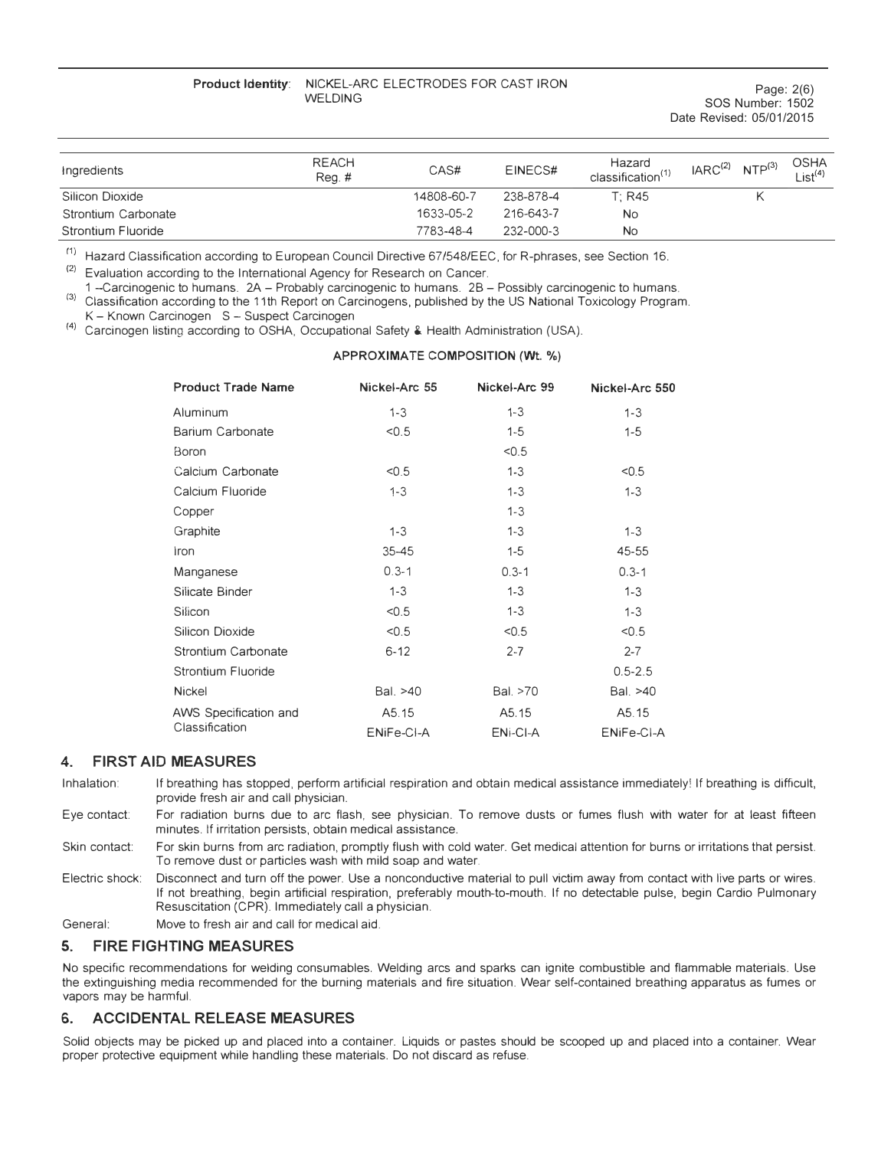#### **Product Identity:** NICKEL-ARC ELECTRODES FOR CAST IRON WELDING

| Ingredients               | <b>REACH</b><br>Req.# | CAS#       | EINECS#   | Hazard<br>classification <sup>(1)</sup> | IARC <sup>(2)</sup> NTP <sup>(3)</sup> | <b>OSHA</b><br>List $(4)$ |
|---------------------------|-----------------------|------------|-----------|-----------------------------------------|----------------------------------------|---------------------------|
| Silicon Dioxide           |                       | 14808-60-7 | 238-878-4 | T: R45                                  |                                        |                           |
| Strontium Carbonate       |                       | 1633-05-2  | 216-643-7 | No                                      |                                        |                           |
| <b>Strontium Fluoride</b> |                       | 7783-48-4  | 232-000-3 | <b>No</b>                               |                                        |                           |

 $(1)$  Hazard Classification according to European Council Directive 67/548/EEC, for R-phrases, see Section 16.

 $(2)$ Evaluation according to the International Agency for Research on Cancer.

1 -Carcinogenic to humans. 2A - Probably carcinogenic to humans. 2B - Possibly carcinogenic to humans. C 3 ) Classification according to the 11th Report on Carcinogens, published by the US National Toxicology Program.

K - Known Carcinogen S - Suspect Carcinogen

r 4 ) Carcinogen listing according to OSHA, Occupational Safety & Health Administration (USA).

#### **APPROXIMATE COMPOSITION (Wt.** %)

| <b>Product Trade Name</b> | Nickel-Arc 55 | Nickel-Arc 99 | Nickel-Arc 550 |
|---------------------------|---------------|---------------|----------------|
| Aluminum                  | $1 - 3$       | $1 - 3$       | $1 - 3$        |
| Barium Carbonate          | < 0.5         | $1 - 5$       | $1 - 5$        |
| Boron                     |               | < 0.5         |                |
| Calcium Carbonate         | < 0.5         | $1-3$         | < 0.5          |
| Calcium Fluoride          | $1 - 3$       | $1 - 3$       | $1 - 3$        |
| Copper                    |               | $1 - 3$       |                |
| Graphite                  | $1 - 3$       | $1 - 3$       | $1 - 3$        |
| iron                      | $35 - 45$     | $1 - 5$       | 45-55          |
| Manganese                 | $0.3 - 1$     | $0.3 - 1$     | $0.3 - 1$      |
| Silicate Binder           | $1 - 3$       | $1 - 3$       | $1 - 3$        |
| Silicon                   | < 0.5         | $1 - 3$       | $1 - 3$        |
| Silicon Dioxide           | < 0.5         | < 0.5         | < 0.5          |
| Strontium Carbonate       | $6 - 12$      | $2 - 7$       | $2 - 7$        |
| Strontium Fluoride        |               |               | $0.5 - 2.5$    |
| <b>Nickel</b>             | Bal. >40      | Bal. >70      | Bal. >40       |
| AWS Specification and     | A5.15         | A5.15         | A5.15          |
| Classification            | ENiFe-CI-A    | ENi-CI-A      | ENiFe-CI-A     |

# **4. FIRST AID MEASURES**

Inhalation: If breathing has stopped, perform artificial respiration and obtain medical assistance immediately! If breathing is difficult, provide fresh air and call physician.

Eye contact: For radiation burns due to arc flash, see physician. To remove dusts or fumes flush with water for at least fifteen minutes. If irritation persists, obtain medical assistance.

Skin contact: For skin burns from arc radiation, promptly flush with cold water. Get medical attention for burns or irritations that persist. To remove dust or particles wash with mild soap and water.

Electric shock: Disconnect and turn off the power. Use a nonconductive material to pull victim away from contact with live parts or wires. If not breathing, begin artificial respiration, preferably mouth-to-mouth. If no detectable pulse, begin Cardio Pulmonary Resuscitation (CPR). Immediately call a physician.

General: Move to fresh air and call for medical aid.

## **5. FIRE FIGHTING MEASURES**

No specific recommendations for welding consumables. Welding arcs and sparks can ignite combustible and flammable materials. Use the extinguishing media recommended for the burning materials and fire situation. Wear self-contained breathing apparatus as fumes or vapors may be hanmful.

# **6. ACCIDENTAL RELEASE MEASURES**

Solid objects may be picked up and placed into a container. Liquids or pastes should be scooped up and placed into a container. Wear proper protective equipment while handling these materials. Do not discard as refuse.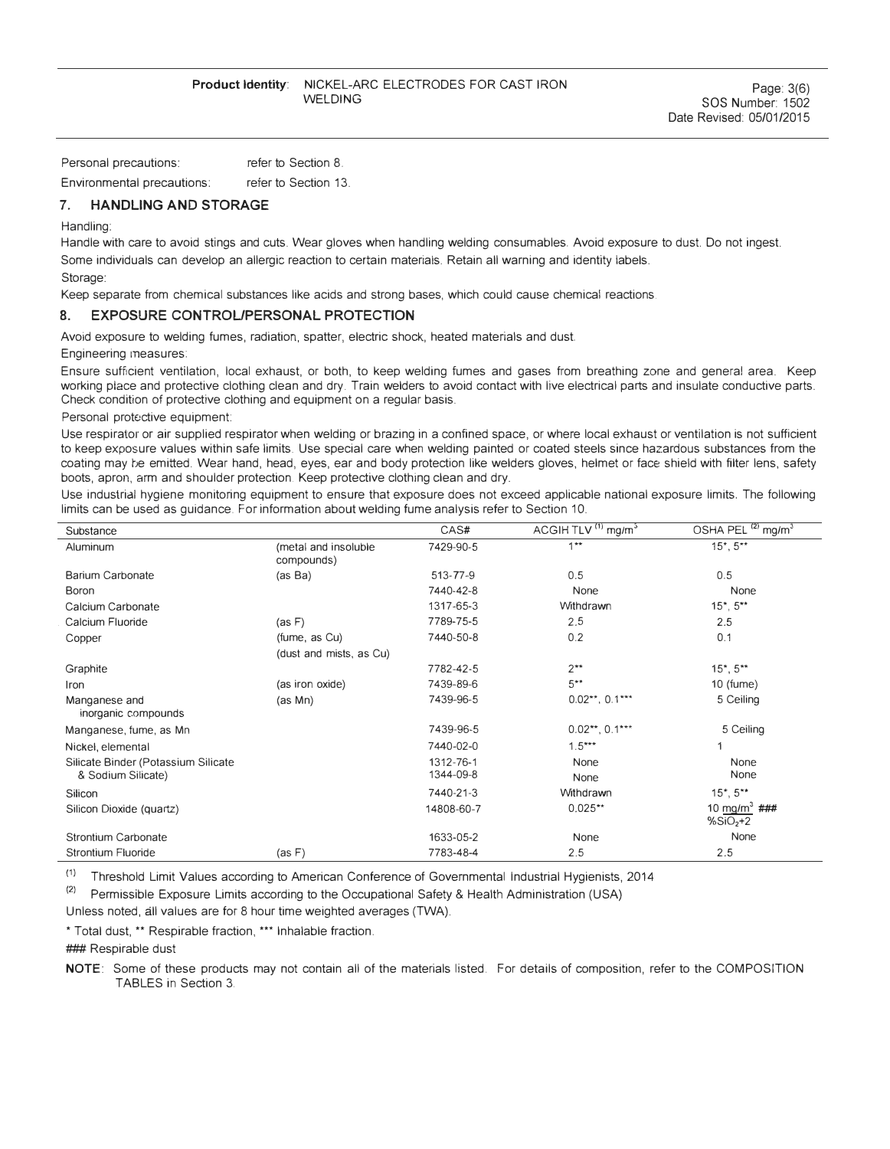Page: 3(6) SOS Number: 1502 Date Revised: 05/01/2015

Personal precautions:

Environmental precautions: refer to Section 13.

## **7. HANDLING AND STORAGE**

Handling:

Handle with care to avoid stings and cuts. Wear gloves when handling welding consumables. Avoid exposure to dust. Do not ingest. Some individuals can develop an allergic reaction to certain materials. Retain all warning and identity labels.

Storage:

Keep separate from chemical substances like acids and strong bases, which could cause chemical reactions.

#### **8. EXPOSURE CONTROUPERSONAL PROTECTION**

Avoid exposure to welding fumes, radiation, spatter, electric shock, heated materials and dust.

refer to Section 8.

#### Engineering measures:

Ensure sufficient ventilation, local exhaust, or both, to keep welding fumes and gases from breathing zone and general area. Keep working place and protective clothing clean and dry. Train welders to avoid contact with live electrical parts and insulate conductive parts. Check condition of protective clothing and equipment on a regular basis.

Personal protective equipment:

Use respirator or air supplied respirator when welding or brazing in a confined space, or where local exhaust or ventilation is not sufficient to keep exposure values within safe limits. Use special care when welding painted or coated steels since hazardous substances from the coating may be emitted. Wear hand, head, eyes, ear and body protection like welders gloves, helmet or face shield with filter lens, safety boots, apron, arm and shoulder protection. Keep protective clothing clean and dry.

Use industrial hygiene monitoring equipment to ensure that exposure does not exceed applicable national exposure limits. The following limits can be used as guidance. For information about welding fume analysis refer to Section 10.

| Substance                                                 |                                    | CAS#                   | ACGIH TLV <sup>(1)</sup> mg/m <sup>3</sup> | OSHA PEL <sup>(2)</sup> mg/m <sup>3</sup> |
|-----------------------------------------------------------|------------------------------------|------------------------|--------------------------------------------|-------------------------------------------|
| Aluminum                                                  | (metal and insoluble<br>compounds) | 7429-90-5              | $1**$                                      | $15^*$ , $5^{**}$                         |
| Barium Carbonate                                          | (as Ba)                            | 513-77-9               | 0.5                                        | 0.5                                       |
| Boron                                                     |                                    | 7440-42-8              | None                                       | None                                      |
| Calcium Carbonate                                         |                                    | 1317-65-3              | Withdrawn                                  | 15*, 5**                                  |
| Calcium Fluoride                                          | (as F)                             | 7789-75-5              | 2.5                                        | 2.5                                       |
| Copper                                                    | (fume, as Cu)                      | 7440-50-8              | 0.2                                        | 0.1                                       |
|                                                           | (dust and mists, as Cu)            |                        |                                            |                                           |
| Graphite                                                  |                                    | 7782-42-5              | $2**$                                      | $15^*$ , $5^{**}$                         |
| Iron                                                      | (as iron oxide)                    | 7439-89-6              | $5***$                                     | $10$ (fume)                               |
| Manganese and<br>inorganic compounds                      | (as Mn)                            | 7439-96-5              | $0.02***$ , $0.1***$                       | 5 Ceiling                                 |
| Manganese, fume, as Mn                                    |                                    | 7439-96-5              | $0.02***$ , $0.1***$                       | 5 Ceiling                                 |
| Nickel, elemental                                         |                                    | 7440-02-0              | $1.5***$                                   | 1                                         |
| Silicate Binder (Potassium Silicate<br>& Sodium Silicate) |                                    | 1312-76-1<br>1344-09-8 | None<br>None                               | None<br>None                              |
| Silicon                                                   |                                    | 7440-21-3              | Withdrawn                                  | $15^*$ , $5^{**}$                         |
| Silicon Dioxide (quartz)                                  |                                    | 14808-60-7             | $0.025**$                                  | 10 mg/m <sup>3</sup> ###<br>$%SiO2+2$     |
| <b>Strontium Carbonate</b>                                |                                    | 1633-05-2              | None                                       | None                                      |
| Strontium Fluoride                                        | (as F)                             | 7783-48-4              | 2.5                                        | 2.5                                       |

(1) Threshold Limit Values according to American Conference of Governmental Industrial Hygienists, 2014

(2) Permissible Exposure Limits according to the Occupational Safety & Health Administration (USA)

Unless noted, all values are for 8 hour time weighted averages (TWA).

\* Total dust, \*\* Respirable fraction, \*\*\* lnhalable fraction.

### Respirable dust

**NOTE:** Some of these products may not contain all of the materials listed. For details of composition, refer to the COMPOSITION TABLES in Section 3.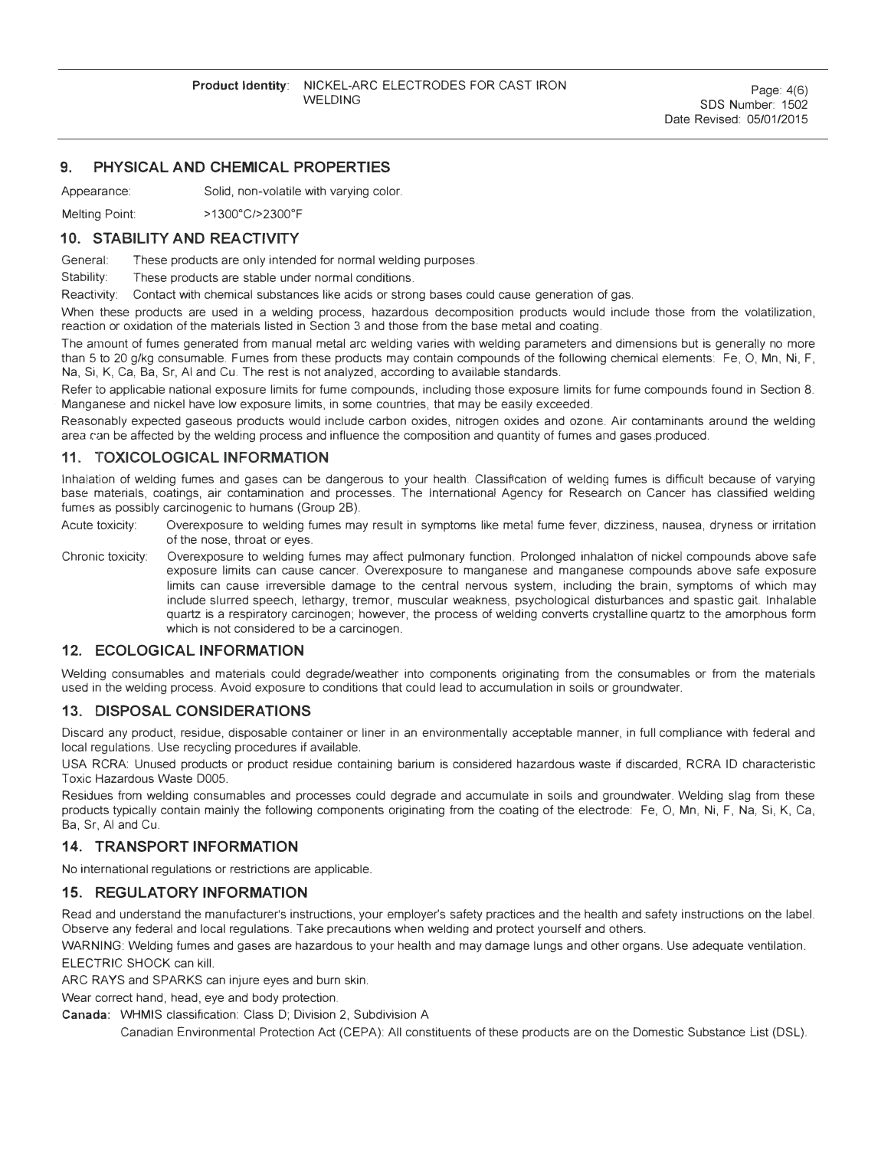# **9. PHYSICAL AND CHEMICAL PROPERTIES**

Appearance: Solid, non-volatile with varying color.

Melting Point: > 1300°C/> 2300° F

## **10. STABILITY AND REACTIVITY**

General: These products are only intended for normal welding purposes.

Stability: These products are stable under normal conditions.

Reactivity: Contact with chemical substances like acids or strong bases could cause generation of gas.

When these products are used in a welding process, hazardous decomposition products would include those from the volatilization, reaction or oxidation of the materials listed in Section 3 and those from the base metal and coating.

The amount of fumes generated from manual metal arc welding varies with welding parameters and dimensions but is generally no more than 5 to 20 g/kg consumable. Fumes from these products may contain compounds of the following chemical elements: Fe, 0, Mn, Ni, F, Na, Si, K, Ca, Ba, Sr, Al and Cu. The rest is not analyzed, according to available standards.

Refer to applicable national exposure limits for fume compounds, including those exposure limits for fume compounds found in Section 8. · Manganese and nickel have low exposure limits, in some countries, that may be easily exceeded.

Reasonably expected gaseous products would include carbon oxides, nitrogen oxides and ozone. Air contaminants around the welding area can be affected by the welding process and influence the composition and quantity of fumes and gases produced.

# **11. TOXICOLOGICAL INFORMATION**

Inhalation of welding fumes and gases can be dangerous to your health. Classification of welding fumes is difficult because of varying base materials, coatings, air contamination and processes. The International Agency for Research on Cancer has classified welding fumes as possibly carcinogenic to humans (Group 2B).

Acute toxicity: Overexposure to welding fumes may result in symptoms like metal fume fever, dizziness, nausea, dryness or irritation of the nose, throat or eyes.

Chronic toxicity: Overexposure to welding fumes may affect pulmonary function. Prolonged inhalation of nickel compounds above safe exposure limits can cause cancer. Overexposure to manganese and manganese compounds above safe exposure limits can cause irreversible damage to the central nervous system, including the brain, symptoms of which may include slurred speech, lethargy, tremor, muscular weakness, psychological disturbances and spastic gait lnhalable quartz is a respiratory carcinogen; however, the process of welding converts crystalline quartz to the amorphous form which is not considered to be a carcinogen.

# **12. ECOLOGICAL INFORMATION**

Welding consumables and materials could degrade/weather into components originating from the consumables or from the materials used in the welding process. Avoid exposure to conditions that could lead to accumulation in soils or groundwater.

## **13. DISPOSAL CONSIDERATIONS**

Discard any product, residue, disposable container or liner in an environmentally acceptable manner, in full compliance with federal and local regulations. Use recycling procedures if available.

USA RCRA: Unused products or product residue containing barium is considered hazardous waste if discarded, RCRA ID characteristic Toxic Hazardous Waste 0005.

Residues from welding consumables and processes could degrade and accumulate in soils and groundwater. Welding slag from these products typically contain mainly the following components originating from the coating of the electrode: Fe, 0, Mn, Ni, F, Na, Si, K, Ca, Ba, Sr, Al and Cu.

# **14. TRANSPORT INFORMATION**

No international regulations or restrictions are applicable.

# **15. REGULATORY INFORMATION**

Read and understand the manufacturer's instructions, your employer's safety practices and the health and safety instructions on the label. Observe any federal and local regulations. Take precautions when welding and protect yourself and others.

WARNING: Welding fumes and gases are hazardous to your health and may damage lungs and other organs. Use adequate ventilation.

ELECTRIC SHOCK can kill.

ARC RAYS and SPARKS can injure eyes and burn skin.

Wear correct hand, head, eye and body protection.

Canada: WHMIS classification: Class D; Division 2, Subdivision A

Canadian Environmental Protection Act (CEPA): All constituents of these products are on the Domestic Substance List (DSL).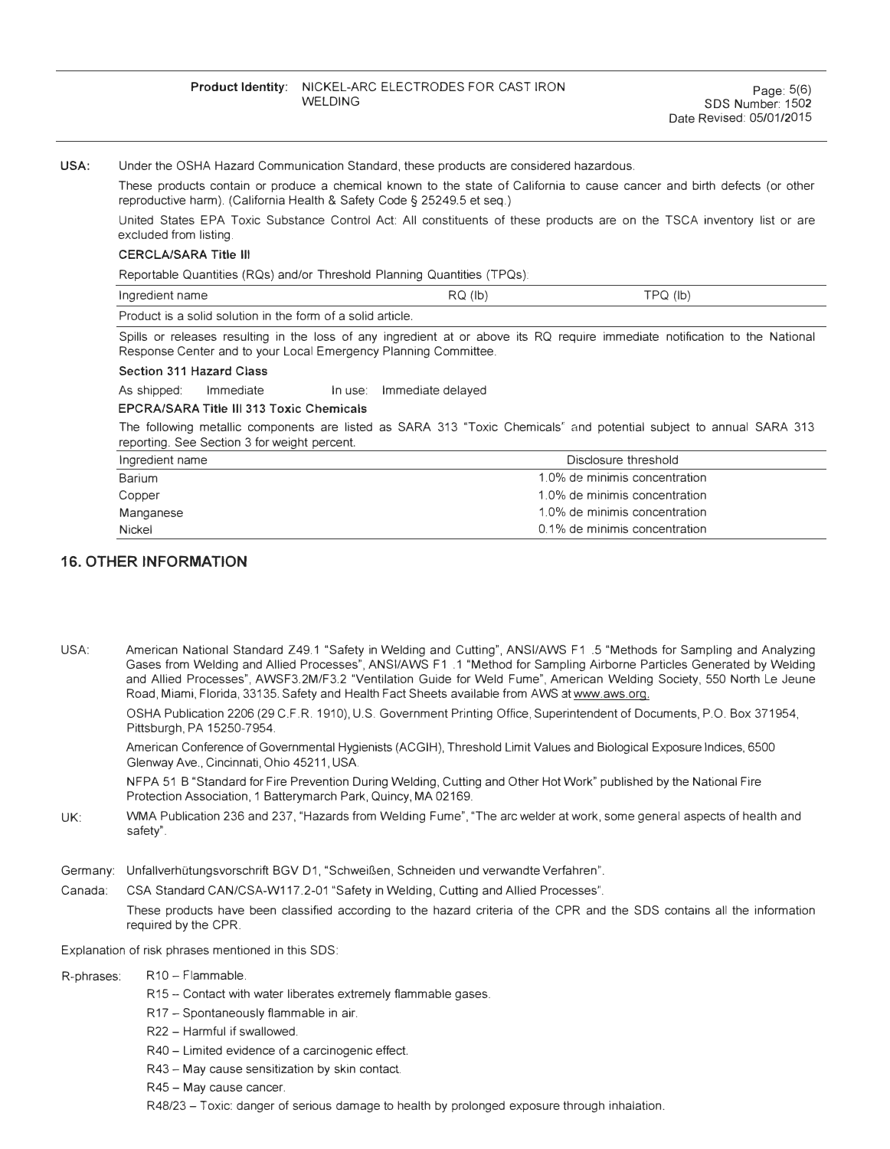#### USA: Under the OSHA Hazard Communication Standard, these products are considered hazardous.

These products contain or produce a chemical known to the state of California to cause cancer and birth defects (or other reproductive harm). (California Health & Safety Code§ 25249.5 et seq.)

United States EPA Toxic Substance Control Act: All constituents of these products are on the TSCA inventory list or are excluded from listing.

#### CERCLA/SARA Title Ill

Reportable Quantities (RQs) and/or Threshold Planning Quantities (TPQs):

| Ingredient name                                             | $RQ$ ( $ b\rangle$ | TPQ (lb) |
|-------------------------------------------------------------|--------------------|----------|
| Product is a solid solution in the form of a solid article. |                    |          |

Spills or releases resulting in the loss of any ingredient at or above its RQ require immediate notification to the National Response Center and to your Local Emergency Planning Committee.

#### Section 311 Hazard Class

As shipped: Immediate In use: Immediate delayed

#### EPCRA/SARA Title Ill 313 Toxic Chemicals

The following metallic components are listed as SARA 313 "Toxic Chemicals" and potential subject to annual SARA 313 reporting. See Section 3 for weight percent.

| Ingredient name | Disclosure threshold          |
|-----------------|-------------------------------|
| <b>Barium</b>   | 1.0% de minimis concentration |
| Copper          | 1.0% de minimis concentration |
| Manganese       | 1.0% de minimis concentration |
| <b>Nickel</b>   | 0.1% de minimis concentration |

## **16. OTHER INFORMATION**

USA: American National Standard Z49.1 "Safety in Welding and Cutting", ANSI/AWS F1 .5 "Methods for Sampling and Analyzing Gases from Welding and Allied Processes", ANSI/AWS F1 .1 "Method for Sampling Airborne Particles Generated by Welding and Allied Processes", AWSF3.2M/F3.2 "Ventilation Guide for Weld Fume", American Welding Society, 550 North Le Jeune Road, Miami, Florida, 33135. Safety and Health Fact Sheets available from AWS at www.aws.org.

OSHA Publication 2206 (29 C.F.R. 1910), U.S. Government Printing Office, Superintendent of Documents, P.O. Box 371954, Pittsburgh, PA 15250-7954.

American Conference of Governmental Hygienists (ACGIH), Threshold Limit Values and Biological Exposure Indices, 6500 Glenway Ave., Cincinnati, Ohio 45211, USA

NFPA 51 B "Standard for Fire Prevention During Welding, Cutting and Other Hot Work" published by the National Fire Protection Association, 1 Batterymarch Park, Quincy, MA 02169.

- UK: WMA Publication 236 and 237, "Hazards from Welding Fume", "The arc welder at work, some general aspects of health and safety".
- Germany: Unfallverhütungsvorschrift BGV D1, "Schweißen, Schneiden und verwandte Verfahren".
- Canada: CSA Standard CAN/CSA-W117.2-01 "Safety in Welding, Cutting and Allied Processes".

These products have been classified according to the hazard criteria of the CPR and the SDS contains all the information required by the CPR.

Explanation of risk phrases mentioned in this SDS:

- R-phrases: R10 Flammable.
	- R15 Contact with water liberates extremely flammable gases.
	- R17 Spontaneously flammable in air.
	- R22 Harmful if swallowed.
	- R40 Limited evidence of a carcinogenic effect.
	- R43 May cause sensitization by skin contact.
	- R45 May cause cancer.

R48/23 - Toxic: danger of serious damage to health by prolonged exposure through inhalation.